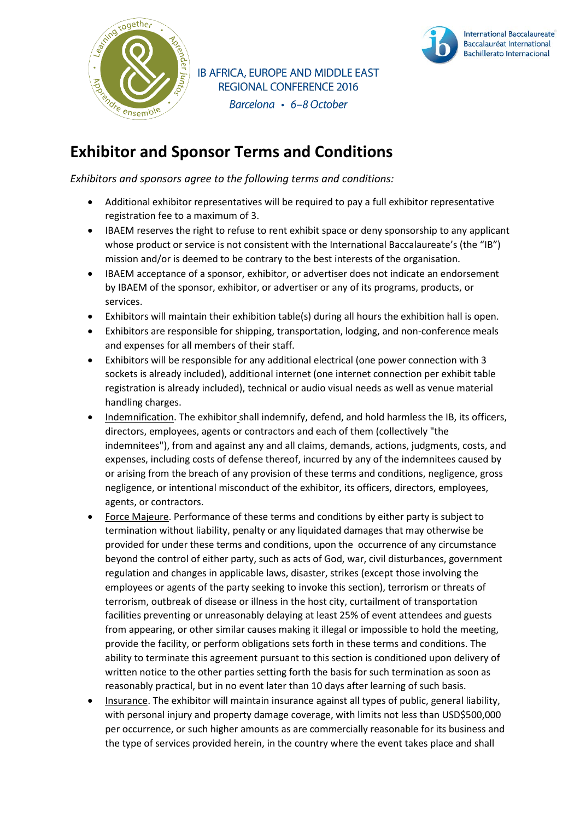

IB AFRICA, EUROPE AND MIDDLE EAST **REGIONAL CONFERENCE 2016** Barcelona • 6-8 October



## **Exhibitor and Sponsor Terms and Conditions**

*Exhibitors and sponsors agree to the following terms and conditions:*

- Additional exhibitor representatives will be required to pay a full exhibitor representative registration fee to a maximum of 3.
- IBAEM reserves the right to refuse to rent exhibit space or deny sponsorship to any applicant whose product or service is not consistent with the International Baccalaureate's (the "IB") mission and/or is deemed to be contrary to the best interests of the organisation.
- IBAEM acceptance of a sponsor, exhibitor, or advertiser does not indicate an endorsement by IBAEM of the sponsor, exhibitor, or advertiser or any of its programs, products, or services.
- Exhibitors will maintain their exhibition table(s) during all hours the exhibition hall is open.
- Exhibitors are responsible for shipping, transportation, lodging, and non-conference meals and expenses for all members of their staff.
- Exhibitors will be responsible for any additional electrical (one power connection with 3 sockets is already included), additional internet (one internet connection per exhibit table registration is already included), technical or audio visual needs as well as venue material handling charges.
- Indemnification. The exhibitor shall indemnify, defend, and hold harmless the IB, its officers, directors, employees, agents or contractors and each of them (collectively "the indemnitees"), from and against any and all claims, demands, actions, judgments, costs, and expenses, including costs of defense thereof, incurred by any of the indemnitees caused by or arising from the breach of any provision of these terms and conditions, negligence, gross negligence, or intentional misconduct of the exhibitor, its officers, directors, employees, agents, or contractors.
- Force Majeure. Performance of these terms and conditions by either party is subject to termination without liability, penalty or any liquidated damages that may otherwise be provided for under these terms and conditions, upon the occurrence of any circumstance beyond the control of either party, such as acts of God, war, civil disturbances, government regulation and changes in applicable laws, disaster, strikes (except those involving the employees or agents of the party seeking to invoke this section), terrorism or threats of terrorism, outbreak of disease or illness in the host city, curtailment of transportation facilities preventing or unreasonably delaying at least 25% of event attendees and guests from appearing, or other similar causes making it illegal or impossible to hold the meeting, provide the facility, or perform obligations sets forth in these terms and conditions. The ability to terminate this agreement pursuant to this section is conditioned upon delivery of written notice to the other parties setting forth the basis for such termination as soon as reasonably practical, but in no event later than 10 days after learning of such basis.
- Insurance. The exhibitor will maintain insurance against all types of public, general liability, with personal injury and property damage coverage, with limits not less than USD\$500,000 per occurrence, or such higher amounts as are commercially reasonable for its business and the type of services provided herein, in the country where the event takes place and shall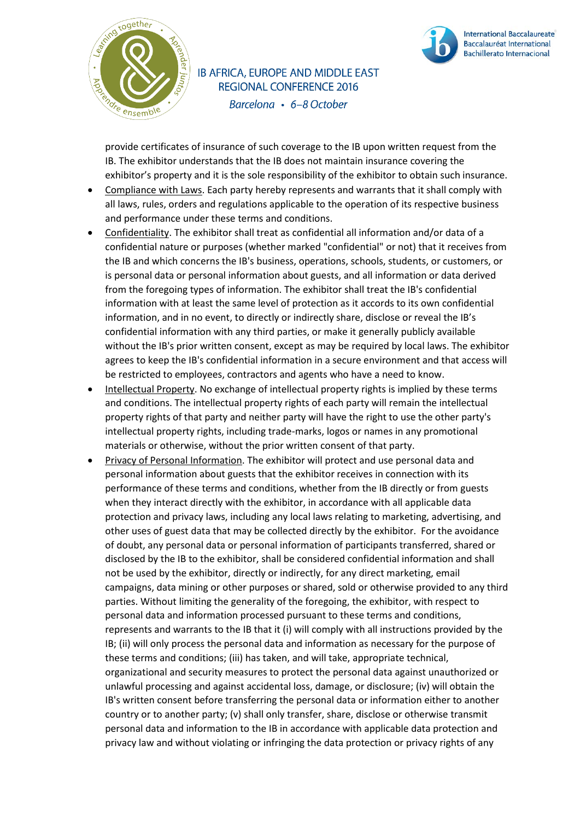

IB AFRICA, EUROPE AND MIDDLE EAST **REGIONAL CONFERENCE 2016** Barcelona • 6-8 October



provide certificates of insurance of such coverage to the IB upon written request from the IB. The exhibitor understands that the IB does not maintain insurance covering the exhibitor's property and it is the sole responsibility of the exhibitor to obtain such insurance.

- Compliance with Laws. Each party hereby represents and warrants that it shall comply with all laws, rules, orders and regulations applicable to the operation of its respective business and performance under these terms and conditions.
- Confidentiality. The exhibitor shall treat as confidential all information and/or data of a confidential nature or purposes (whether marked "confidential" or not) that it receives from the IB and which concerns the IB's business, operations, schools, students, or customers, or is personal data or personal information about guests, and all information or data derived from the foregoing types of information. The exhibitor shall treat the IB's confidential information with at least the same level of protection as it accords to its own confidential information, and in no event, to directly or indirectly share, disclose or reveal the IB's confidential information with any third parties, or make it generally publicly available without the IB's prior written consent, except as may be required by local laws. The exhibitor agrees to keep the IB's confidential information in a secure environment and that access will be restricted to employees, contractors and agents who have a need to know.
- Intellectual Property. No exchange of intellectual property rights is implied by these terms and conditions. The intellectual property rights of each party will remain the intellectual property rights of that party and neither party will have the right to use the other party's intellectual property rights, including trade-marks, logos or names in any promotional materials or otherwise, without the prior written consent of that party.
- Privacy of Personal Information. The exhibitor will protect and use personal data and personal information about guests that the exhibitor receives in connection with its performance of these terms and conditions, whether from the IB directly or from guests when they interact directly with the exhibitor, in accordance with all applicable data protection and privacy laws, including any local laws relating to marketing, advertising, and other uses of guest data that may be collected directly by the exhibitor. For the avoidance of doubt, any personal data or personal information of participants transferred, shared or disclosed by the IB to the exhibitor, shall be considered confidential information and shall not be used by the exhibitor, directly or indirectly, for any direct marketing, email campaigns, data mining or other purposes or shared, sold or otherwise provided to any third parties. Without limiting the generality of the foregoing, the exhibitor, with respect to personal data and information processed pursuant to these terms and conditions, represents and warrants to the IB that it (i) will comply with all instructions provided by the IB; (ii) will only process the personal data and information as necessary for the purpose of these terms and conditions; (iii) has taken, and will take, appropriate technical, organizational and security measures to protect the personal data against unauthorized or unlawful processing and against accidental loss, damage, or disclosure; (iv) will obtain the IB's written consent before transferring the personal data or information either to another country or to another party; (v) shall only transfer, share, disclose or otherwise transmit personal data and information to the IB in accordance with applicable data protection and privacy law and without violating or infringing the data protection or privacy rights of any